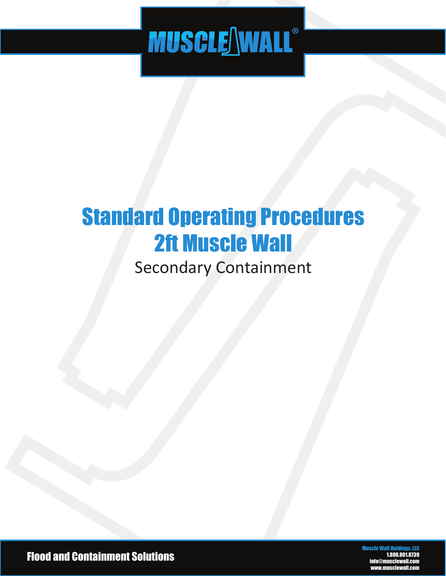# **MUSCLE NALL®**

### Standard Operating Procedures 2ft Muscle Wall

### Secondary Containment

Flood and Containment Solutions

Muscle Wall Holdings, LLC 1.800.801.8739 dmusclev www.musclewall.com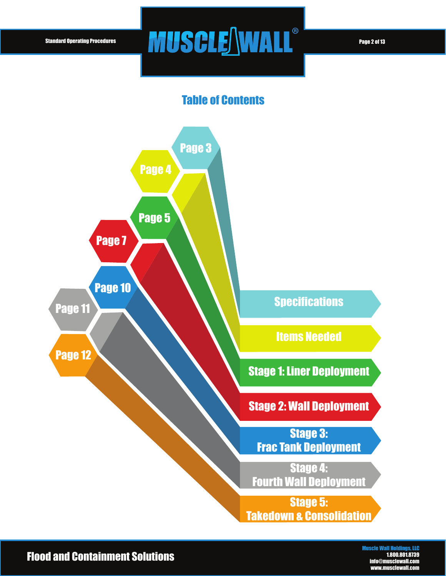### Standard Operating Procedures **PAII QAI FAMINI DEL CONTRESPONDEN**

#### Table of Contents



Flood and Containment Solutions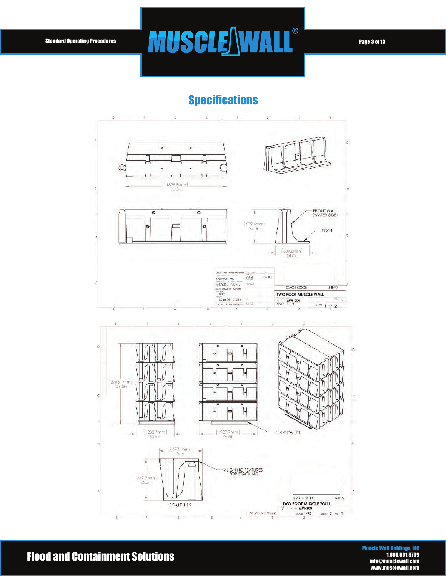### Standard Operating Procedures **PAIISAIF NAIA II<sup>®</sup> Page 3 of 13**

#### **Specifications**



#### Flood and Containment Solutions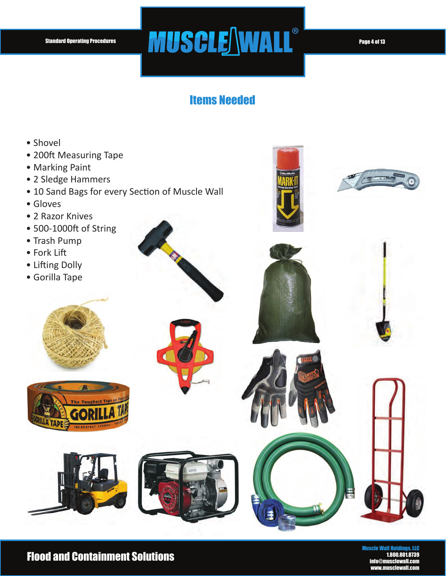### Standard Operating Procedures **PAII QAI FAMINI DEL CONTRESPONDEN**

#### Items Needed

- Shovel
- 200ft Measuring Tape
- Marking Paint
- 2 Sledge Hammers
- 10 Sand Bags for every Section of Muscle Wall
- Gloves
- 2 Razor Knives
- 500-1000ft of String
- Trash Pump
- Fork Lift
- Lifting Dolly
- Gorilla Tape















#### Flood and Containment Solutions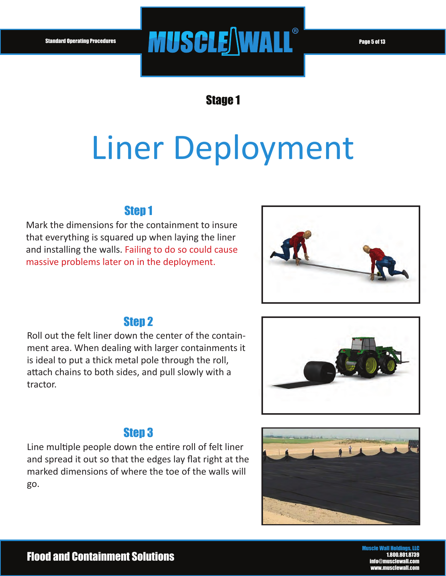## Standard Operating Procedures **PAII QAI FAMIAI I**<sup>®</sup>

Stage 1

## Liner Deployment

#### Step 1

Mark the dimensions for the containment to insure that everything is squared up when laying the liner and installing the walls. Failing to do so could cause massive problems later on in the deployment.



#### **Step 2**

Roll out the felt liner down the center of the containment area. When dealing with larger containments it is ideal to put a thick metal pole through the roll, attach chains to both sides, and pull slowly with a tractor.



#### Step 3

Line multiple people down the entire roll of felt liner and spread it out so that the edges lay flat right at the marked dimensions of where the toe of the walls will go.

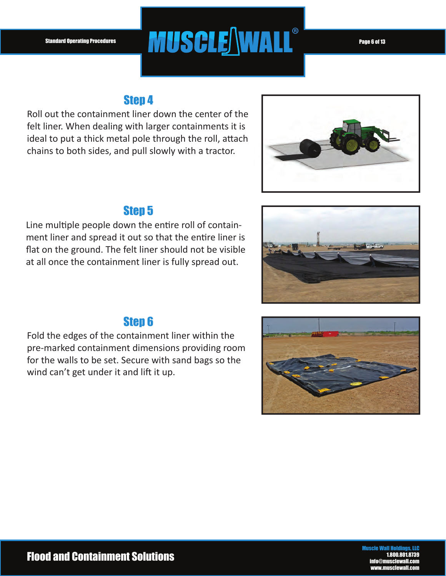### Standard Operating Procedures **PAII QAI FAMIAI I**<sup>®</sup>

#### Step 4

Roll out the containment liner down the center of the felt liner. When dealing with larger containments it is ideal to put a thick metal pole through the roll, attach chains to both sides, and pull slowly with a tractor.



#### Step 5

Line multiple people down the entire roll of containment liner and spread it out so that the entire liner is flat on the ground. The felt liner should not be visible at all once the containment liner is fully spread out.



#### Step 6

Fold the edges of the containment liner within the pre-marked containment dimensions providing room for the walls to be set. Secure with sand bags so the wind can't get under it and lift it up.

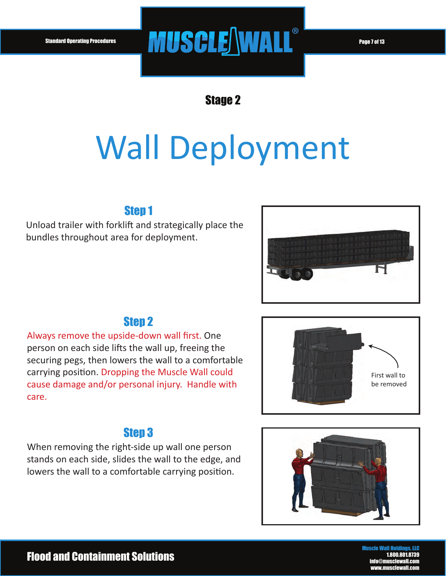### Standard Operating Procedures **PAII QAI FAMINI "**Page 7 of 13

Stage 2

## Wall Deployment

#### Step 1

Unload trailer with forklift and strategically place the bundles throughout area for deployment.



#### Step 2

Always remove the upside-down wall first. One person on each side lifts the wall up, freeing the securing pegs, then lowers the wall to a comfortable carrying position. Dropping the Muscle Wall could cause damage and/or personal injury. Handle with care.



#### Step 3

When removing the right-side up wall one person stands on each side, slides the wall to the edge, and lowers the wall to a comfortable carrying position.

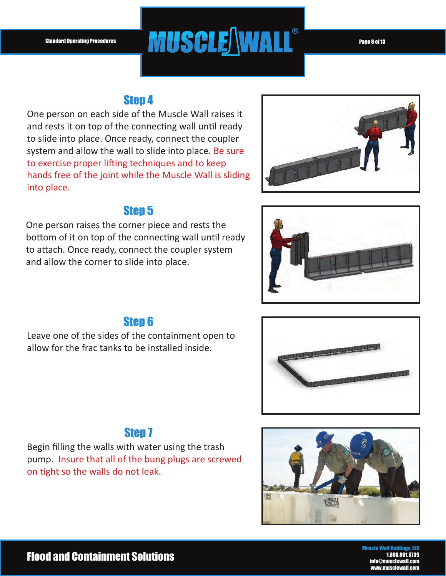### Standard Operating Procedures **PAIISAIF NAIA II**®

#### Step 4

One person on each side of the Muscle Wall raises it and rests it on top of the connecting wall until ready to slide into place. Once ready, connect the coupler system and allow the wall to slide into place. Be sure to exercise proper lifting techniques and to keep hands free of the joint while the Muscle Wall is sliding into place.

#### Step 5

One person raises the corner piece and rests the bottom of it on top of the connecting wall until ready to attach. Once ready, connect the coupler system and allow the corner to slide into place.







Leave one of the sides of the containment open to allow for the frac tanks to be installed inside.



#### **Step 7**

Begin filling the walls with water using the trash pump. Insure that all of the bung plugs are screwed on tight so the walls do not leak.

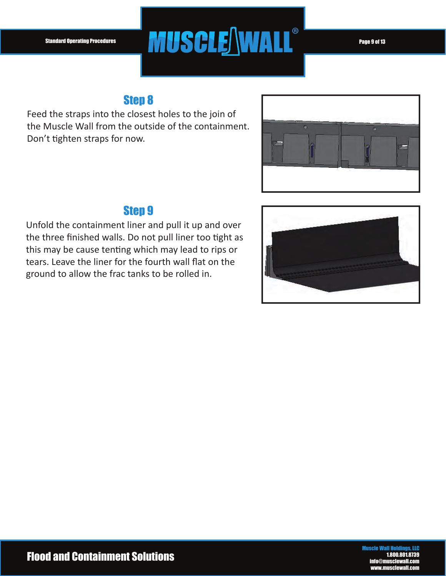## Standard Operating Procedures **PAII QAI FAMIAI I**<sup>®</sup>

#### Step 8

Feed the straps into the closest holes to the join of the Muscle Wall from the outside of the containment. Don't tighten straps for now.



#### Step 9

Unfold the containment liner and pull it up and over the three finished walls. Do not pull liner too tight as this may be cause tenting which may lead to rips or tears. Leave the liner for the fourth wall flat on the ground to allow the frac tanks to be rolled in.

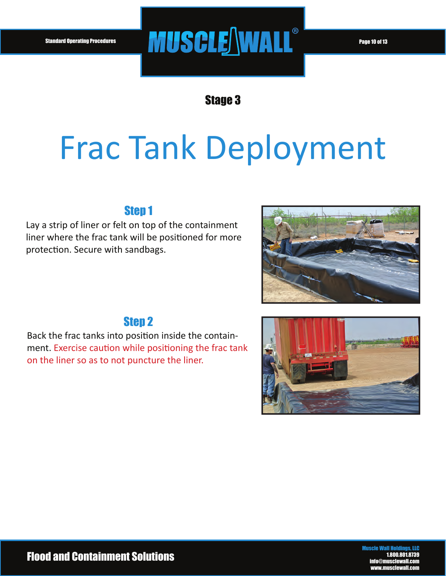### Standard Operating Procedures **Page 10 of 13**

Stage 3

## Frac Tank Deployment

#### Step 1

Lay a strip of liner or felt on top of the containment liner where the frac tank will be positioned for more protection. Secure with sandbags.





#### Step 2

Back the frac tanks into position inside the containment. Exercise caution while positioning the frac tank on the liner so as to not puncture the liner.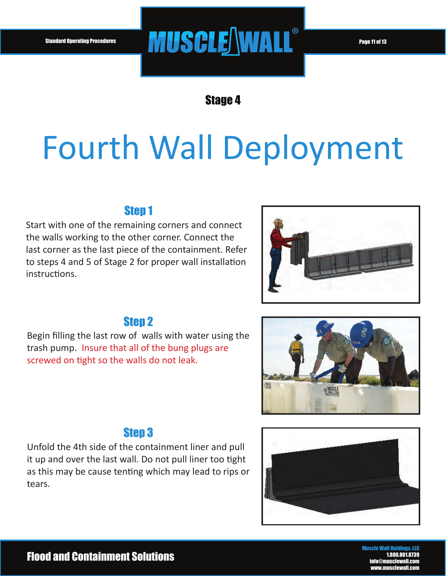### Standard Operating Procedures **Page 11 of 13 April 19 April 19 April 19 April 19 April 19 April 19 April 19 April 1**

Stage 4

## Fourth Wall Deployment

#### Step 1

Start with one of the remaining corners and connect the walls working to the other corner. Connect the last corner as the last piece of the containment. Refer to steps 4 and 5 of Stage 2 for proper wall installation instructions.



#### Step 2

Begin filling the last row of walls with water using the trash pump. Insure that all of the bung plugs are screwed on tight so the walls do not leak.



#### Step 3

Unfold the 4th side of the containment liner and pull it up and over the last wall. Do not pull liner too tight as this may be cause tenting which may lead to rips or tears.

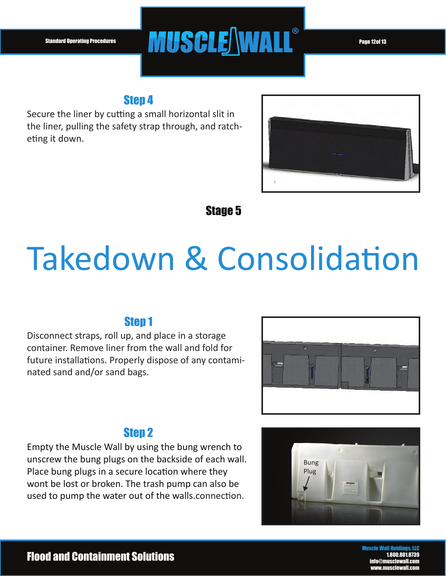### Standard Operating Procedures **PAIISAIE NAIA II<sup>®</sup> Page 12of 13**

#### Step 4

Secure the liner by cutting a small horizontal slit in the liner, pulling the safety strap through, and ratcheting it down.



#### Stage 5

## Takedown & Consolidation

#### Step 1

Disconnect straps, roll up, and place in a storage container. Remove liner from the wall and fold for future installations. Properly dispose of any contaminated sand and/or sand bags.



#### Step 2

Empty the Muscle Wall by using the bung wrench to unscrew the bung plugs on the backside of each wall. Place bung plugs in a secure location where they wont be lost or broken. The trash pump can also be used to pump the water out of the walls.connection.